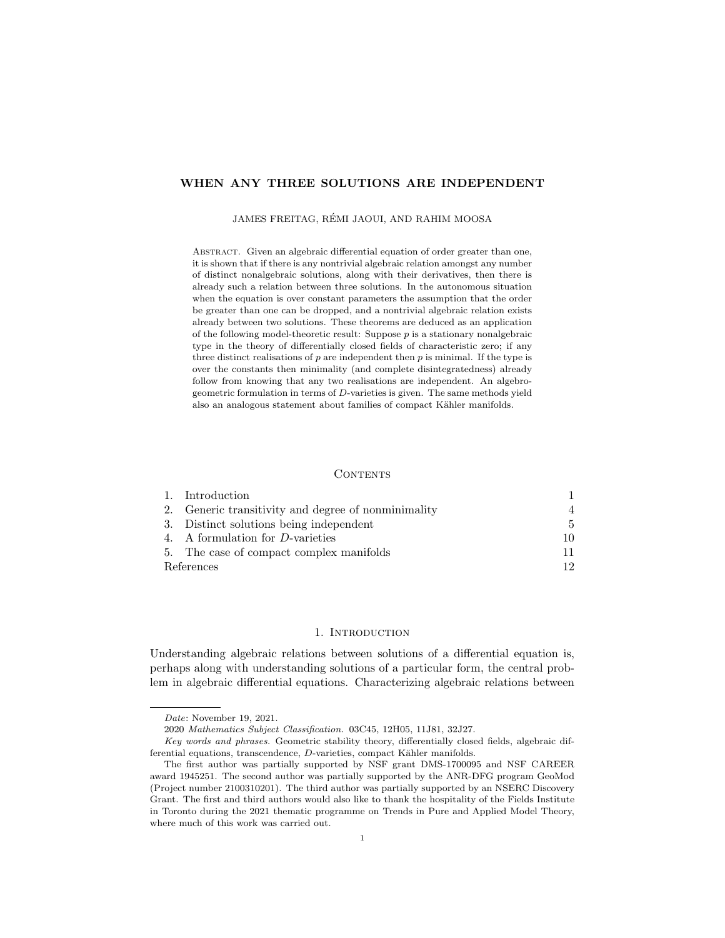# WHEN ANY THREE SOLUTIONS ARE INDEPENDENT

## JAMES FREITAG, REMI JAOUI, AND RAHIM MOOSA ´

ABSTRACT. Given an algebraic differential equation of order greater than one, it is shown that if there is any nontrivial algebraic relation amongst any number of distinct nonalgebraic solutions, along with their derivatives, then there is already such a relation between three solutions. In the autonomous situation when the equation is over constant parameters the assumption that the order be greater than one can be dropped, and a nontrivial algebraic relation exists already between two solutions. These theorems are deduced as an application of the following model-theoretic result: Suppose  $p$  is a stationary nonalgebraic type in the theory of differentially closed fields of characteristic zero; if any three distinct realisations of  $p$  are independent then  $p$  is minimal. If the type is over the constants then minimality (and complete disintegratedness) already follow from knowing that any two realisations are independent. An algebrogeometric formulation in terms of D-varieties is given. The same methods yield also an analogous statement about families of compact Kähler manifolds.

### CONTENTS

|            | 1. Introduction                                     |     |
|------------|-----------------------------------------------------|-----|
|            | 2. Generic transitivity and degree of nonminimality | 4   |
|            | 3. Distinct solutions being independent             | 5.  |
|            | 4. A formulation for D-varieties                    | 10. |
|            | 5. The case of compact complex manifolds            |     |
| References |                                                     | 19. |

## 1. INTRODUCTION

Understanding algebraic relations between solutions of a differential equation is, perhaps along with understanding solutions of a particular form, the central problem in algebraic differential equations. Characterizing algebraic relations between

Date: November 19, 2021.

<sup>2020</sup> Mathematics Subject Classification. 03C45, 12H05, 11J81, 32J27.

Key words and phrases. Geometric stability theory, differentially closed fields, algebraic differential equations, transcendence, D-varieties, compact Kähler manifolds.

The first author was partially supported by NSF grant DMS-1700095 and NSF CAREER award 1945251. The second author was partially supported by the ANR-DFG program GeoMod (Project number 2100310201). The third author was partially supported by an NSERC Discovery Grant. The first and third authors would also like to thank the hospitality of the Fields Institute in Toronto during the 2021 thematic programme on Trends in Pure and Applied Model Theory, where much of this work was carried out.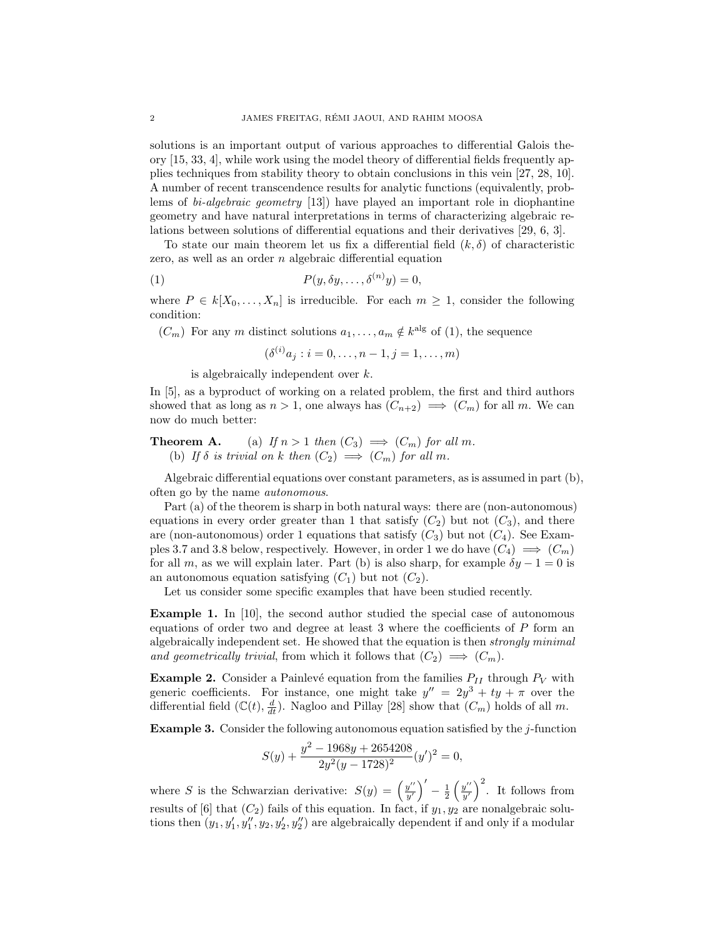solutions is an important output of various approaches to differential Galois theory [15, 33, 4], while work using the model theory of differential fields frequently applies techniques from stability theory to obtain conclusions in this vein [27, 28, 10]. A number of recent transcendence results for analytic functions (equivalently, problems of bi-algebraic geometry [13]) have played an important role in diophantine geometry and have natural interpretations in terms of characterizing algebraic relations between solutions of differential equations and their derivatives [29, 6, 3].

To state our main theorem let us fix a differential field  $(k, \delta)$  of characteristic zero, as well as an order  $n$  algebraic differential equation

(1) 
$$
P(y, \delta y, \dots, \delta^{(n)} y) = 0,
$$

where  $P \in k[X_0, \ldots, X_n]$  is irreducible. For each  $m \geq 1$ , consider the following condition:

 $(C_m)$  For any m distinct solutions  $a_1, \ldots, a_m \notin k^{\text{alg}}$  of (1), the sequence

 $(\delta^{(i)} a_j : i = 0, \ldots, n-1, j = 1, \ldots, m)$ 

is algebraically independent over k.

In [5], as a byproduct of working on a related problem, the first and third authors showed that as long as  $n > 1$ , one always has  $(C_{n+2}) \implies (C_m)$  for all m. We can now do much better:

**Theorem A.** (a) If  $n > 1$  then  $(C_3) \implies (C_m)$  for all m. (b) If  $\delta$  is trivial on k then  $(C_2) \implies (C_m)$  for all m.

Algebraic differential equations over constant parameters, as is assumed in part (b), often go by the name autonomous.

Part (a) of the theorem is sharp in both natural ways: there are (non-autonomous) equations in every order greater than 1 that satisfy  $(C_2)$  but not  $(C_3)$ , and there are (non-autonomous) order 1 equations that satisfy  $(C_3)$  but not  $(C_4)$ . See Examples 3.7 and 3.8 below, respectively. However, in order 1 we do have  $(C_4) \implies (C_m)$ for all m, as we will explain later. Part (b) is also sharp, for example  $\delta y - 1 = 0$  is an autonomous equation satisfying  $(C_1)$  but not  $(C_2)$ .

Let us consider some specific examples that have been studied recently.

Example 1. In [10], the second author studied the special case of autonomous equations of order two and degree at least  $3$  where the coefficients of  $P$  form an algebraically independent set. He showed that the equation is then strongly minimal and geometrically trivial, from which it follows that  $(C_2) \implies (C_m)$ .

**Example 2.** Consider a Painlevé equation from the families  $P_{II}$  through  $P_V$  with generic coefficients. For instance, one might take  $y'' = 2y^3 + ty + \pi$  over the differential field  $(\mathbb{C}(t), \frac{d}{dt})$ . Nagloo and Pillay [28] show that  $(C_m)$  holds of all m.

Example 3. Consider the following autonomous equation satisfied by the j-function

$$
S(y) + \frac{y^2 - 1968y + 2654208}{2y^2(y - 1728)^2}(y')^2 = 0,
$$

where S is the Schwarzian derivative:  $S(y) = \left(\frac{y''}{y'}\right)^2$  $\left(y''\over y'\right)' - \frac{1}{2}\left(\frac{y''}{y'}\right)$  $(y''/y')^2$ . It follows from results of [6] that  $(C_2)$  fails of this equation. In fact, if  $y_1, y_2$  are nonalgebraic solutions then  $(y_1, y'_1, y''_1, y_2, y'_2, y''_2)$  are algebraically dependent if and only if a modular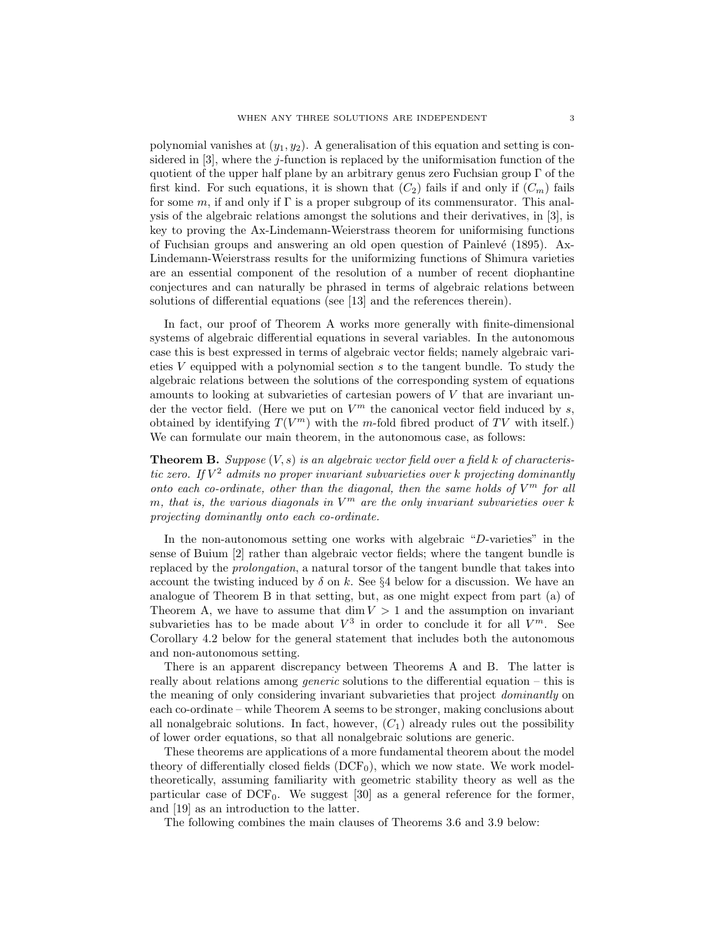polynomial vanishes at  $(y_1, y_2)$ . A generalisation of this equation and setting is considered in  $[3]$ , where the *j*-function is replaced by the uniformisation function of the quotient of the upper half plane by an arbitrary genus zero Fuchsian group  $\Gamma$  of the first kind. For such equations, it is shown that  $(C_2)$  fails if and only if  $(C_m)$  fails for some m, if and only if  $\Gamma$  is a proper subgroup of its commensurator. This analysis of the algebraic relations amongst the solutions and their derivatives, in [3], is key to proving the Ax-Lindemann-Weierstrass theorem for uniformising functions of Fuchsian groups and answering an old open question of Painlevé (1895). Ax-Lindemann-Weierstrass results for the uniformizing functions of Shimura varieties are an essential component of the resolution of a number of recent diophantine conjectures and can naturally be phrased in terms of algebraic relations between solutions of differential equations (see [13] and the references therein).

In fact, our proof of Theorem A works more generally with finite-dimensional systems of algebraic differential equations in several variables. In the autonomous case this is best expressed in terms of algebraic vector fields; namely algebraic varieties V equipped with a polynomial section s to the tangent bundle. To study the algebraic relations between the solutions of the corresponding system of equations amounts to looking at subvarieties of cartesian powers of V that are invariant under the vector field. (Here we put on  $V^m$  the canonical vector field induced by s, obtained by identifying  $T(V^m)$  with the m-fold fibred product of TV with itself.) We can formulate our main theorem, in the autonomous case, as follows:

**Theorem B.** Suppose  $(V, s)$  is an algebraic vector field over a field k of characteristic zero. If  $V^2$  admits no proper invariant subvarieties over k projecting dominantly onto each co-ordinate, other than the diagonal, then the same holds of  $V^m$  for all m, that is, the various diagonals in  $V^m$  are the only invariant subvarieties over k projecting dominantly onto each co-ordinate.

In the non-autonomous setting one works with algebraic "D-varieties" in the sense of Buium [2] rather than algebraic vector fields; where the tangent bundle is replaced by the prolongation, a natural torsor of the tangent bundle that takes into account the twisting induced by  $\delta$  on k. See §4 below for a discussion. We have an analogue of Theorem B in that setting, but, as one might expect from part (a) of Theorem A, we have to assume that  $\dim V > 1$  and the assumption on invariant subvarieties has to be made about  $V^3$  in order to conclude it for all  $V^m$ . See Corollary 4.2 below for the general statement that includes both the autonomous and non-autonomous setting.

There is an apparent discrepancy between Theorems A and B. The latter is really about relations among *generic* solutions to the differential equation – this is the meaning of only considering invariant subvarieties that project dominantly on each co-ordinate – while Theorem A seems to be stronger, making conclusions about all nonalgebraic solutions. In fact, however,  $(C_1)$  already rules out the possibility of lower order equations, so that all nonalgebraic solutions are generic.

These theorems are applications of a more fundamental theorem about the model theory of differentially closed fields  $(DCF<sub>0</sub>)$ , which we now state. We work modeltheoretically, assuming familiarity with geometric stability theory as well as the particular case of  $DCF_0$ . We suggest [30] as a general reference for the former, and [19] as an introduction to the latter.

The following combines the main clauses of Theorems 3.6 and 3.9 below: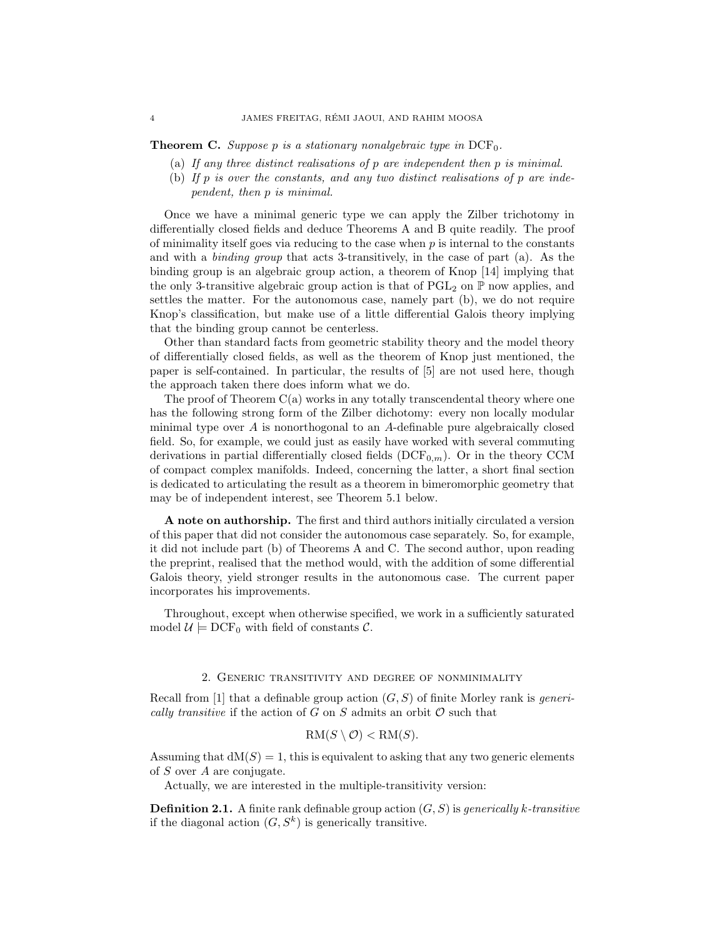**Theorem C.** Suppose p is a stationary nonalgebraic type in  $DCF_0$ .

- (a) If any three distinct realisations of p are independent then p is minimal.
- (b) If p is over the constants, and any two distinct realisations of p are independent, then p is minimal.

Once we have a minimal generic type we can apply the Zilber trichotomy in differentially closed fields and deduce Theorems A and B quite readily. The proof of minimality itself goes via reducing to the case when  $p$  is internal to the constants and with a binding group that acts 3-transitively, in the case of part (a). As the binding group is an algebraic group action, a theorem of Knop [14] implying that the only 3-transitive algebraic group action is that of  $PGL_2$  on P now applies, and settles the matter. For the autonomous case, namely part (b), we do not require Knop's classification, but make use of a little differential Galois theory implying that the binding group cannot be centerless.

Other than standard facts from geometric stability theory and the model theory of differentially closed fields, as well as the theorem of Knop just mentioned, the paper is self-contained. In particular, the results of [5] are not used here, though the approach taken there does inform what we do.

The proof of Theorem  $C(a)$  works in any totally transcendental theory where one has the following strong form of the Zilber dichotomy: every non locally modular minimal type over  $A$  is nonorthogonal to an  $A$ -definable pure algebraically closed field. So, for example, we could just as easily have worked with several commuting derivations in partial differentially closed fields  $(DCF_{0,m})$ . Or in the theory CCM of compact complex manifolds. Indeed, concerning the latter, a short final section is dedicated to articulating the result as a theorem in bimeromorphic geometry that may be of independent interest, see Theorem 5.1 below.

A note on authorship. The first and third authors initially circulated a version of this paper that did not consider the autonomous case separately. So, for example, it did not include part (b) of Theorems A and C. The second author, upon reading the preprint, realised that the method would, with the addition of some differential Galois theory, yield stronger results in the autonomous case. The current paper incorporates his improvements.

Throughout, except when otherwise specified, we work in a sufficiently saturated model  $\mathcal{U} \models \text{DCF}_0$  with field of constants  $\mathcal{C}$ .

## 2. Generic transitivity and degree of nonminimality

Recall from [1] that a definable group action  $(G, S)$  of finite Morley rank is *generi*cally transitive if the action of G on S admits an orbit  $\mathcal O$  such that

$$
RM(S\setminus \mathcal{O}) < RM(S).
$$

Assuming that  $dM(S) = 1$ , this is equivalent to asking that any two generic elements of S over A are conjugate.

Actually, we are interested in the multiple-transitivity version:

**Definition 2.1.** A finite rank definable group action  $(G, S)$  is *generically k-transitive* if the diagonal action  $(G, S^k)$  is generically transitive.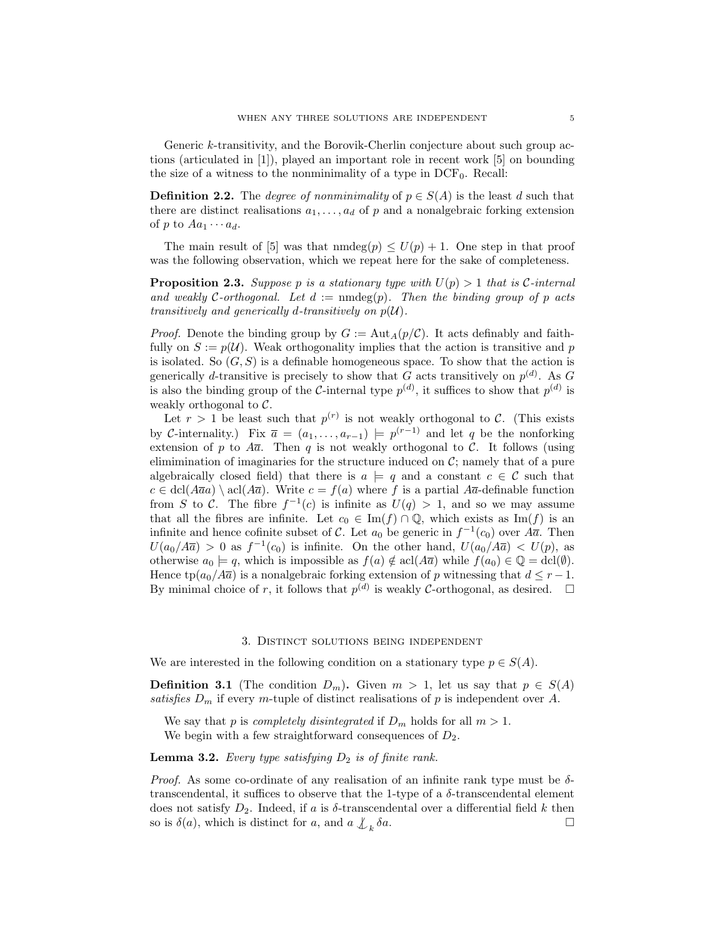Generic k-transitivity, and the Borovik-Cherlin conjecture about such group actions (articulated in [1]), played an important role in recent work [5] on bounding the size of a witness to the nonminimality of a type in  $DCF_0$ . Recall:

**Definition 2.2.** The *degree of nonminimality* of  $p \in S(A)$  is the least d such that there are distinct realisations  $a_1, \ldots, a_d$  of p and a nonalgebraic forking extension of p to  $Aa_1 \cdots a_d$ .

The main result of [5] was that  $\text{nmdeg}(p) \leq U(p) + 1$ . One step in that proof was the following observation, which we repeat here for the sake of completeness.

**Proposition 2.3.** Suppose p is a stationary type with  $U(p) > 1$  that is C-internal and weakly C-orthogonal. Let  $d := \text{mdeg}(p)$ . Then the binding group of p acts transitively and generically d-transitively on  $p(\mathcal{U})$ .

*Proof.* Denote the binding group by  $G := Aut_A(p/\mathcal{C})$ . It acts definably and faithfully on  $S := p(\mathcal{U})$ . Weak orthogonality implies that the action is transitive and p is isolated. So  $(G, S)$  is a definable homogeneous space. To show that the action is generically d-transitive is precisely to show that G acts transitively on  $p^{(d)}$ . As G is also the binding group of the C-internal type  $p^{(d)}$ , it suffices to show that  $p^{(d)}$  is weakly orthogonal to  $C$ .

Let  $r > 1$  be least such that  $p^{(r)}$  is not weakly orthogonal to C. (This exists by C-internality.) Fix  $\bar{a} = (a_1, \ldots, a_{r-1}) \models p^{(r-1)}$  and let q be the nonforking extension of p to  $A\overline{a}$ . Then q is not weakly orthogonal to C. It follows (using elimimination of imaginaries for the structure induced on  $\mathcal{C}$ ; namely that of a pure algebraically closed field) that there is  $a \models q$  and a constant  $c \in \mathcal{C}$  such that  $c \in \text{dcl}(\overline{A}a) \setminus \text{acl}(A\overline{a})$ . Write  $c = f(a)$  where f is a partial  $\overline{A}a$ -definable function from S to C. The fibre  $f^{-1}(c)$  is infinite as  $U(q) > 1$ , and so we may assume that all the fibres are infinite. Let  $c_0 \in \text{Im}(f) \cap \mathbb{Q}$ , which exists as  $\text{Im}(f)$  is an infinite and hence cofinite subset of C. Let  $a_0$  be generic in  $f^{-1}(c_0)$  over  $A\overline{a}$ . Then  $U(a_0/A\overline{a}) > 0$  as  $f^{-1}(c_0)$  is infinite. On the other hand,  $U(a_0/A\overline{a}) < U(p)$ , as otherwise  $a_0 \models q$ , which is impossible as  $f(a) \notin \text{acl}(A\overline{a})$  while  $f(a_0) \in \mathbb{Q} = \text{dcl}(\emptyset)$ . Hence tp( $a_0/A\overline{a}$ ) is a nonalgebraic forking extension of p witnessing that  $d \leq r-1$ . By minimal choice of r, it follows that  $p^{(d)}$  is weakly C-orthogonal, as desired.  $\Box$ 

## 3. Distinct solutions being independent

We are interested in the following condition on a stationary type  $p \in S(A)$ .

**Definition 3.1** (The condition  $D_m$ ). Given  $m > 1$ , let us say that  $p \in S(A)$ satisfies  $D_m$  if every m-tuple of distinct realisations of p is independent over A.

We say that p is *completely disintegrated* if  $D_m$  holds for all  $m > 1$ . We begin with a few straightforward consequences of  $D_2$ .

## **Lemma 3.2.** Every type satisfying  $D_2$  is of finite rank.

*Proof.* As some co-ordinate of any realisation of an infinite rank type must be  $\delta$ transcendental, it suffices to observe that the 1-type of a  $\delta$ -transcendental element does not satisfy  $D_2$ . Indeed, if a is  $\delta$ -transcendental over a differential field k then so is  $\delta(a)$ , which is distinct for a, and  $a \nightharpoondown_{k} a$ .  $\delta a$ .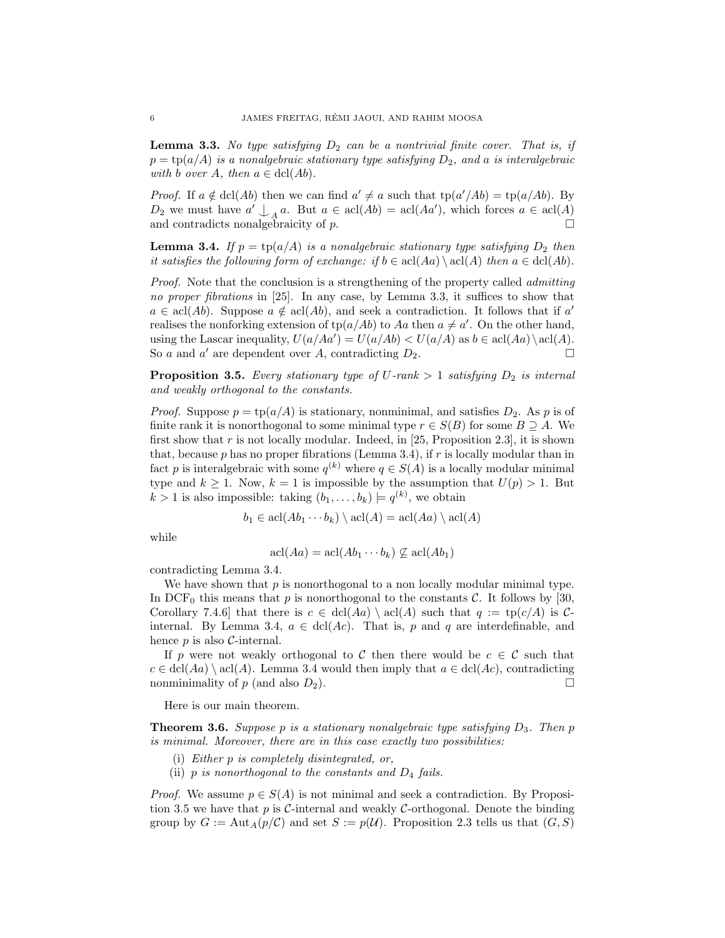**Lemma 3.3.** No type satisfying  $D_2$  can be a nontrivial finite cover. That is, if  $p = \text{tp}(a/A)$  is a nonalgebraic stationary type satisfying  $D_2$ , and a is interalgebraic with b over A, then  $a \in \text{dcl}(Ab)$ .

*Proof.* If  $a \notin \text{dcl}(Ab)$  then we can find  $a' \neq a$  such that  $\text{tp}(a'/Ab) = \text{tp}(a/Ab)$ . By  $D_2$  we must have  $a' \nightharpoonup_A a$ . But  $a \in \text{acl}(Ab) = \text{acl}(Aa')$ , which forces  $a \in \text{acl}(A)$ and contradicts nonalgebraicity of  $p$ .

**Lemma 3.4.** If  $p = \text{tp}(a/A)$  is a nonalgebraic stationary type satisfying  $D_2$  then it satisfies the following form of exchange: if  $b \in \text{acl}(Aa) \setminus \text{acl}(A)$  then  $a \in \text{dcl}(Ab)$ .

Proof. Note that the conclusion is a strengthening of the property called *admitting* no proper fibrations in [25]. In any case, by Lemma 3.3, it suffices to show that  $a \in \text{acl}(Ab)$ . Suppose  $a \notin \text{acl}(Ab)$ , and seek a contradiction. It follows that if a' realises the nonforking extension of  $\text{tp}(a/Ab)$  to Aa then  $a \neq a'$ . On the other hand, using the Lascar inequality,  $U(a/Ad) = U(a/Ab) < U(a/A)$  as  $b \in \text{acl}(Aa) \setminus \text{acl}(A)$ . So a and a' are dependent over A, contradicting  $D_2$ .

**Proposition 3.5.** Every stationary type of U-rank  $> 1$  satisfying  $D_2$  is internal and weakly orthogonal to the constants.

*Proof.* Suppose  $p = \text{tp}(a/A)$  is stationary, nonminimal, and satisfies  $D_2$ . As p is of finite rank it is nonorthogonal to some minimal type  $r \in S(B)$  for some  $B \supseteq A$ . We first show that r is not locally modular. Indeed, in [25, Proposition 2.3], it is shown that, because  $p$  has no proper fibrations (Lemma 3.4), if  $r$  is locally modular than in fact p is interalgebraic with some  $q^{(k)}$  where  $q \in S(A)$  is a locally modular minimal type and  $k \geq 1$ . Now,  $k = 1$  is impossible by the assumption that  $U(p) > 1$ . But  $k > 1$  is also impossible: taking  $(b_1, \ldots, b_k) \models q^{(k)}$ , we obtain

$$
b_1 \in \operatorname{acl}(Ab_1 \cdots b_k) \setminus \operatorname{acl}(A) = \operatorname{acl}(Aa) \setminus \operatorname{acl}(A)
$$

while

$$
acl(Aa) = acl(Ab_1 \cdots b_k) \not\subseteq acl(Ab_1)
$$

contradicting Lemma 3.4.

We have shown that  $p$  is nonorthogonal to a non locally modular minimal type. In DCF<sub>0</sub> this means that p is nonorthogonal to the constants  $\mathcal{C}$ . It follows by [30, Corollary 7.4.6] that there is  $c \in \text{dcl}(Aa) \setminus \text{acl}(A)$  such that  $q := \text{tp}(c/A)$  is Cinternal. By Lemma 3.4,  $a \in \text{dcl}(Ac)$ . That is, p and q are interdefinable, and hence  $p$  is also  $\mathcal{C}\text{-internal}$ .

If p were not weakly orthogonal to C then there would be  $c \in \mathcal{C}$  such that  $c \in \text{dcl}(Aa) \setminus \text{acl}(A)$ . Lemma 3.4 would then imply that  $a \in \text{dcl}(Ac)$ , contradicting nonminimality of  $p$  (and also  $D_2$ ).

Here is our main theorem.

**Theorem 3.6.** Suppose p is a stationary nonalgebraic type satisfying  $D_3$ . Then p is minimal. Moreover, there are in this case exactly two possibilities:

- (i) Either p is completely disintegrated, or,
- (ii)  $p$  is nonorthogonal to the constants and  $D_4$  fails.

*Proof.* We assume  $p \in S(A)$  is not minimal and seek a contradiction. By Proposition 3.5 we have that p is C-internal and weakly C-orthogonal. Denote the binding group by  $G := \text{Aut}_A(p/\mathcal{C})$  and set  $S := p(\mathcal{U})$ . Proposition 2.3 tells us that  $(G, S)$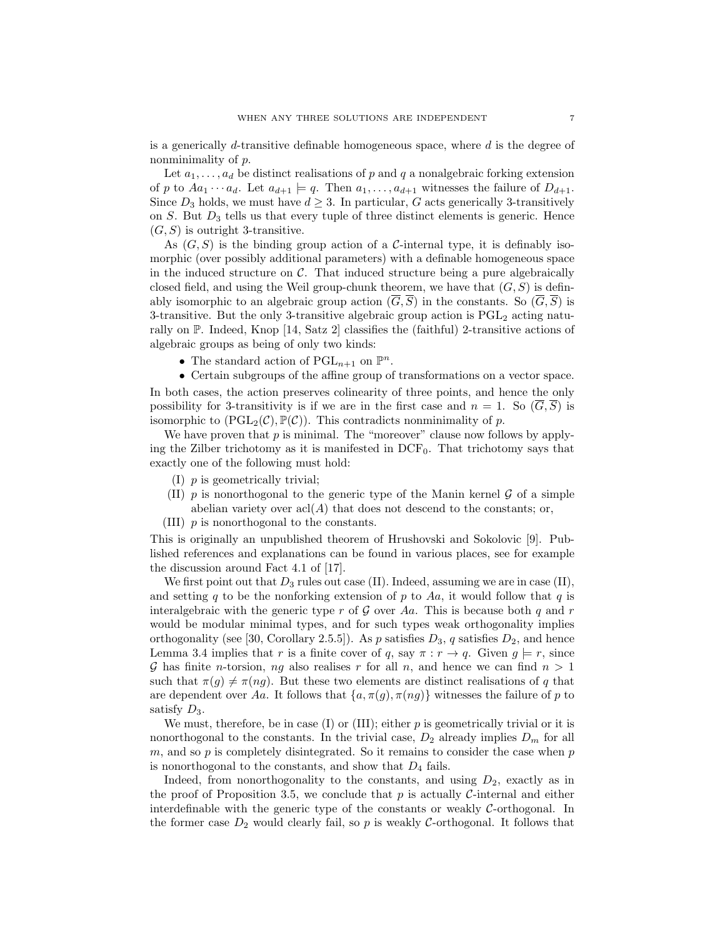is a generically d-transitive definable homogeneous space, where  $d$  is the degree of nonminimality of p.

Let  $a_1, \ldots, a_d$  be distinct realisations of p and q a nonalgebraic forking extension of p to  $Aa_1 \cdots a_d$ . Let  $a_{d+1} \models q$ . Then  $a_1, \ldots, a_{d+1}$  witnesses the failure of  $D_{d+1}$ . Since  $D_3$  holds, we must have  $d \geq 3$ . In particular, G acts generically 3-transitively on  $S$ . But  $D_3$  tells us that every tuple of three distinct elements is generic. Hence  $(G, S)$  is outright 3-transitive.

As  $(G, S)$  is the binding group action of a C-internal type, it is definably isomorphic (over possibly additional parameters) with a definable homogeneous space in the induced structure on  $\mathcal C$ . That induced structure being a pure algebraically closed field, and using the Weil group-chunk theorem, we have that  $(G, S)$  is definably isomorphic to an algebraic group action  $(\overline{G}, \overline{S})$  in the constants. So  $(\overline{G}, \overline{S})$  is 3-transitive. But the only 3-transitive algebraic group action is  $PGL<sub>2</sub>$  acting naturally on P. Indeed, Knop [14, Satz 2] classifies the (faithful) 2-transitive actions of algebraic groups as being of only two kinds:

- The standard action of  $PGL_{n+1}$  on  $\mathbb{P}^n$ .
- Certain subgroups of the affine group of transformations on a vector space.

In both cases, the action preserves colinearity of three points, and hence the only possibility for 3-transitivity is if we are in the first case and  $n = 1$ . So  $(\overline{G}, \overline{S})$  is isomorphic to  $(PGL_2(\mathcal{C}), \mathbb{P}(\mathcal{C}))$ . This contradicts nonminimality of p.

We have proven that  $p$  is minimal. The "moreover" clause now follows by applying the Zilber trichotomy as it is manifested in  $DCF_0$ . That trichotomy says that exactly one of the following must hold:

- (I) p is geometrically trivial;
- (II)  $p$  is nonorthogonal to the generic type of the Manin kernel  $\mathcal G$  of a simple abelian variety over  $\operatorname{acl}(A)$  that does not descend to the constants; or,
- (III) p is nonorthogonal to the constants.

This is originally an unpublished theorem of Hrushovski and Sokolovic [9]. Published references and explanations can be found in various places, see for example the discussion around Fact 4.1 of [17].

We first point out that  $D_3$  rules out case (II). Indeed, assuming we are in case (II), and setting q to be the nonforking extension of p to Aa, it would follow that q is interalgebraic with the generic type r of  $G$  over Aa. This is because both q and r would be modular minimal types, and for such types weak orthogonality implies orthogonality (see [30, Corollary 2.5.5]). As p satisfies  $D_3$ , q satisfies  $D_2$ , and hence Lemma 3.4 implies that r is a finite cover of q, say  $\pi : r \to q$ . Given  $q \models r$ , since G has finite *n*-torsion, ng also realises r for all n, and hence we can find  $n > 1$ such that  $\pi(q) \neq \pi(nq)$ . But these two elements are distinct realisations of q that are dependent over Aa. It follows that  $\{a, \pi(g), \pi(ng)\}$  witnesses the failure of p to satisfy  $D_3$ .

We must, therefore, be in case  $(I)$  or  $(III)$ ; either p is geometrically trivial or it is nonorthogonal to the constants. In the trivial case,  $D_2$  already implies  $D_m$  for all  $m$ , and so  $p$  is completely disintegrated. So it remains to consider the case when  $p$ is nonorthogonal to the constants, and show that  $D_4$  fails.

Indeed, from nonorthogonality to the constants, and using  $D_2$ , exactly as in the proof of Proposition 3.5, we conclude that  $p$  is actually C-internal and either interdefinable with the generic type of the constants or weakly  $C$ -orthogonal. In the former case  $D_2$  would clearly fail, so p is weakly C-orthogonal. It follows that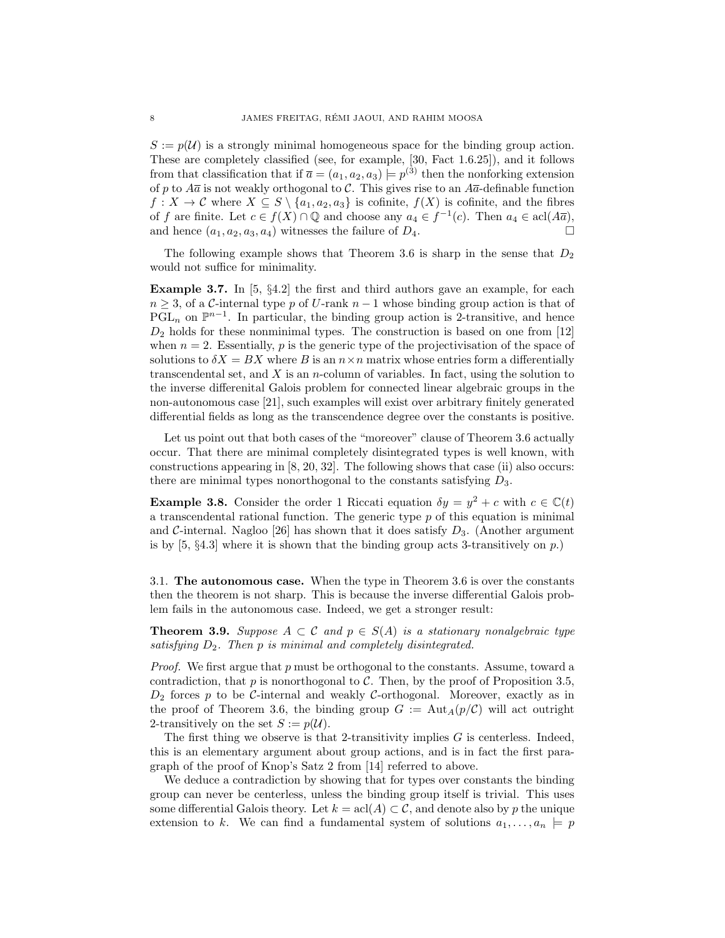$S := p(\mathcal{U})$  is a strongly minimal homogeneous space for the binding group action. These are completely classified (see, for example, [30, Fact 1.6.25]), and it follows from that classification that if  $\bar{a} = (a_1, a_2, a_3) \models p^{(3)}$  then the nonforking extension of p to  $A\overline{a}$  is not weakly orthogonal to C. This gives rise to an  $A\overline{a}$ -definable function  $f: X \to \mathcal{C}$  where  $X \subseteq S \setminus \{a_1, a_2, a_3\}$  is cofinite,  $f(X)$  is cofinite, and the fibres of f are finite. Let  $c \in f(X) \cap \mathbb{Q}$  and choose any  $a_4 \in f^{-1}(c)$ . Then  $a_4 \in \text{acl}(A\overline{a})$ , and hence  $(a_1, a_2, a_3, a_4)$  witnesses the failure of  $D_4$ .

The following example shows that Theorem 3.6 is sharp in the sense that  $D_2$ would not suffice for minimality.

**Example 3.7.** In  $[5, §4.2]$  the first and third authors gave an example, for each  $n \geq 3$ , of a C-internal type p of U-rank  $n-1$  whose binding group action is that of PGL<sub>n</sub> on  $\mathbb{P}^{n-1}$ . In particular, the binding group action is 2-transitive, and hence  $D_2$  holds for these nonminimal types. The construction is based on one from [12] when  $n = 2$ . Essentially, p is the generic type of the projectivisation of the space of solutions to  $\delta X = BX$  where B is an  $n \times n$  matrix whose entries form a differentially transcendental set, and  $X$  is an *n*-column of variables. In fact, using the solution to the inverse differenital Galois problem for connected linear algebraic groups in the non-autonomous case [21], such examples will exist over arbitrary finitely generated differential fields as long as the transcendence degree over the constants is positive.

Let us point out that both cases of the "moreover" clause of Theorem 3.6 actually occur. That there are minimal completely disintegrated types is well known, with constructions appearing in [8, 20, 32]. The following shows that case (ii) also occurs: there are minimal types nonorthogonal to the constants satisfying  $D_3$ .

**Example 3.8.** Consider the order 1 Riccati equation  $\delta y = y^2 + c$  with  $c \in \mathbb{C}(t)$ a transcendental rational function. The generic type  $p$  of this equation is minimal and C-internal. Nagloo [26] has shown that it does satisfy  $D_3$ . (Another argument is by  $[5, \S4.3]$  where it is shown that the binding group acts 3-transitively on p.)

3.1. The autonomous case. When the type in Theorem 3.6 is over the constants then the theorem is not sharp. This is because the inverse differential Galois problem fails in the autonomous case. Indeed, we get a stronger result:

**Theorem 3.9.** Suppose  $A \subset \mathcal{C}$  and  $p \in S(A)$  is a stationary nonalgebraic type satisfying  $D_2$ . Then p is minimal and completely disintegrated.

*Proof.* We first argue that  $p$  must be orthogonal to the constants. Assume, toward a contradiction, that p is nonorthogonal to C. Then, by the proof of Proposition 3.5,  $D_2$  forces p to be C-internal and weakly C-orthogonal. Moreover, exactly as in the proof of Theorem 3.6, the binding group  $G := \text{Aut}_A(p/\mathcal{C})$  will act outright 2-transitively on the set  $S := p(\mathcal{U})$ .

The first thing we observe is that 2-transitivity implies  $G$  is centerless. Indeed, this is an elementary argument about group actions, and is in fact the first paragraph of the proof of Knop's Satz 2 from [14] referred to above.

We deduce a contradiction by showing that for types over constants the binding group can never be centerless, unless the binding group itself is trivial. This uses some differential Galois theory. Let  $k = \text{acl}(A) \subset \mathcal{C}$ , and denote also by p the unique extension to k. We can find a fundamental system of solutions  $a_1, \ldots, a_n \models p$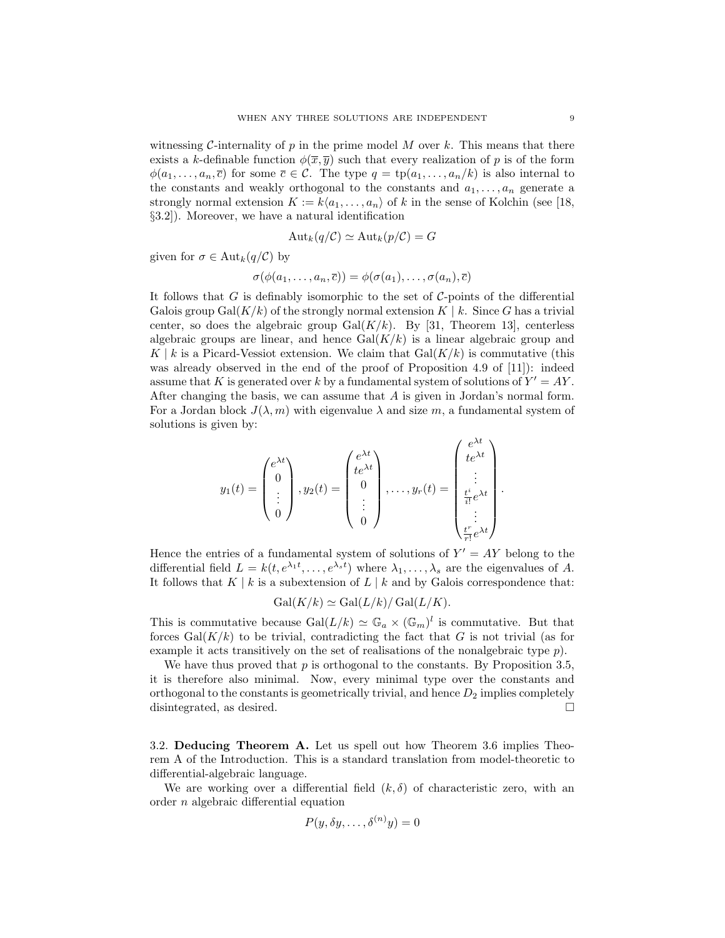witnessing C-internality of p in the prime model M over k. This means that there exists a k-definable function  $\phi(\overline{x}, \overline{y})$  such that every realization of p is of the form  $\phi(a_1,\ldots,a_n,\overline{c})$  for some  $\overline{c}\in\mathcal{C}$ . The type  $q = \text{tp}(a_1,\ldots,a_n/k)$  is also internal to the constants and weakly orthogonal to the constants and  $a_1, \ldots, a_n$  generate a strongly normal extension  $K := k\langle a_1, \ldots, a_n \rangle$  of k in the sense of Kolchin (see [18, §3.2]). Moreover, we have a natural identification

$$
Aut_k(q/\mathcal{C}) \simeq Aut_k(p/\mathcal{C}) = G
$$

given for  $\sigma \in \text{Aut}_k(q/\mathcal{C})$  by

$$
\sigma(\phi(a_1,\ldots,a_n,\overline{c}))=\phi(\sigma(a_1),\ldots,\sigma(a_n),\overline{c})
$$

It follows that G is definably isomorphic to the set of  $C$ -points of the differential Galois group Gal $(K/k)$  of the strongly normal extension  $K \mid k$ . Since G has a trivial center, so does the algebraic group  $Gal(K/k)$ . By [31, Theorem 13], centerless algebraic groups are linear, and hence  $Gal(K/k)$  is a linear algebraic group and  $K \mid k$  is a Picard-Vessiot extension. We claim that  $Gal(K/k)$  is commutative (this was already observed in the end of the proof of Proposition 4.9 of [11]): indeed assume that K is generated over k by a fundamental system of solutions of  $Y' = AY$ . After changing the basis, we can assume that A is given in Jordan's normal form. For a Jordan block  $J(\lambda, m)$  with eigenvalue  $\lambda$  and size m, a fundamental system of solutions is given by:

$$
y_1(t) = \begin{pmatrix} e^{\lambda t} \\ 0 \\ \vdots \\ 0 \end{pmatrix}, y_2(t) = \begin{pmatrix} e^{\lambda t} \\ te^{\lambda t} \\ 0 \\ \vdots \\ 0 \end{pmatrix}, \dots, y_r(t) = \begin{pmatrix} e^{\lambda t} \\ te^{\lambda t} \\ \vdots \\ \frac{t^i}{i!}e^{\lambda t} \\ \vdots \\ \frac{t^r}{r!}e^{\lambda t} \end{pmatrix}.
$$

Hence the entries of a fundamental system of solutions of  $Y' = AY$  belong to the differential field  $L = k(t, e^{\lambda_1 t}, \dots, e^{\lambda_s t})$  where  $\lambda_1, \dots, \lambda_s$  are the eigenvalues of A. It follows that  $K | k$  is a subextension of  $L | k$  and by Galois correspondence that:

$$
Gal(K/k) \simeq Gal(L/k)/Gal(L/K).
$$

This is commutative because  $Gal(L/k) \simeq \mathbb{G}_a \times (\mathbb{G}_m)^l$  is commutative. But that forces  $Gal(K/k)$  to be trivial, contradicting the fact that G is not trivial (as for example it acts transitively on the set of realisations of the nonalgebraic type  $p$ ).

We have thus proved that  $p$  is orthogonal to the constants. By Proposition 3.5, it is therefore also minimal. Now, every minimal type over the constants and orthogonal to the constants is geometrically trivial, and hence  $D_2$  implies completely disintegrated, as desired.

3.2. Deducing Theorem A. Let us spell out how Theorem 3.6 implies Theorem A of the Introduction. This is a standard translation from model-theoretic to differential-algebraic language.

We are working over a differential field  $(k, \delta)$  of characteristic zero, with an order n algebraic differential equation

$$
P(y, \delta y, \dots, \delta^{(n)} y) = 0
$$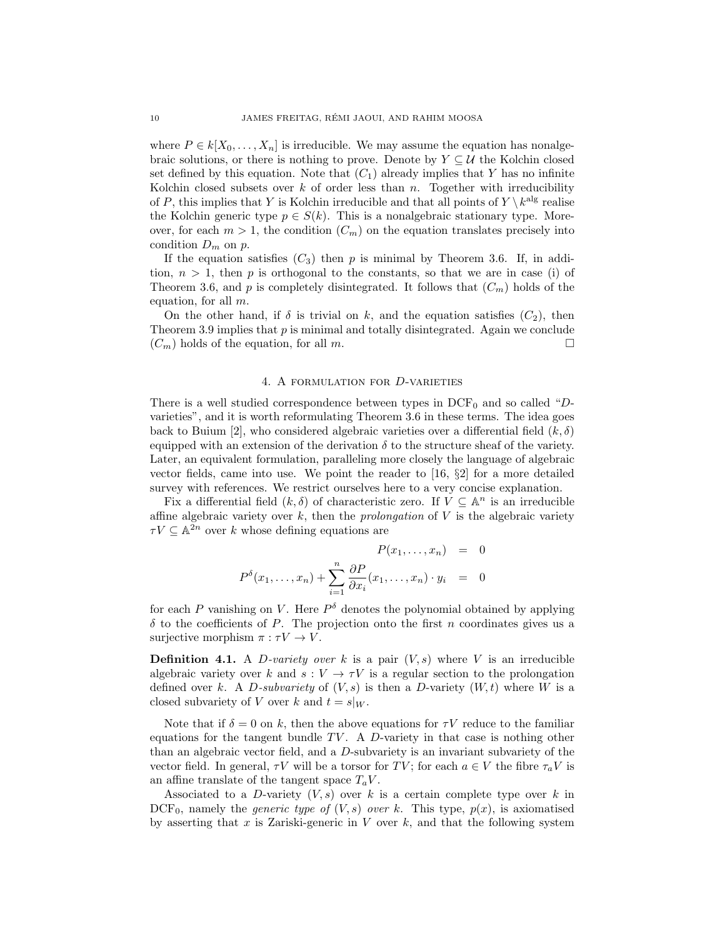where  $P \in k[X_0, \ldots, X_n]$  is irreducible. We may assume the equation has nonalgebraic solutions, or there is nothing to prove. Denote by  $Y \subseteq U$  the Kolchin closed set defined by this equation. Note that  $(C_1)$  already implies that Y has no infinite Kolchin closed subsets over  $k$  of order less than  $n$ . Together with irreducibility of P, this implies that Y is Kolchin irreducible and that all points of  $Y \setminus k^{\text{alg}}$  realise the Kolchin generic type  $p \in S(k)$ . This is a nonalgebraic stationary type. Moreover, for each  $m > 1$ , the condition  $(C_m)$  on the equation translates precisely into condition  $D_m$  on  $p$ .

If the equation satisfies  $(C_3)$  then p is minimal by Theorem 3.6. If, in addition,  $n > 1$ , then p is orthogonal to the constants, so that we are in case (i) of Theorem 3.6, and p is completely disintegrated. It follows that  $(C_m)$  holds of the equation, for all m.

On the other hand, if  $\delta$  is trivial on k, and the equation satisfies  $(C_2)$ , then Theorem 3.9 implies that  $p$  is minimal and totally disintegrated. Again we conclude  $(C_m)$  holds of the equation, for all m.

### 4. A formulation for D-varieties

There is a well studied correspondence between types in  $DCF_0$  and so called "Dvarieties", and it is worth reformulating Theorem 3.6 in these terms. The idea goes back to Buium [2], who considered algebraic varieties over a differential field  $(k, \delta)$ equipped with an extension of the derivation  $\delta$  to the structure sheaf of the variety. Later, an equivalent formulation, paralleling more closely the language of algebraic vector fields, came into use. We point the reader to  $[16, \S2]$  for a more detailed survey with references. We restrict ourselves here to a very concise explanation.

Fix a differential field  $(k, \delta)$  of characteristic zero. If  $V \subseteq \mathbb{A}^n$  is an irreducible affine algebraic variety over  $k$ , then the *prolongation* of  $V$  is the algebraic variety  $\tau V \subseteq \mathbb{A}^{2n}$  over k whose defining equations are

$$
P(x_1, \ldots, x_n) = 0
$$
  

$$
P^{\delta}(x_1, \ldots, x_n) + \sum_{i=1}^n \frac{\partial P}{\partial x_i}(x_1, \ldots, x_n) \cdot y_i = 0
$$

for each P vanishing on V. Here  $P^{\delta}$  denotes the polynomial obtained by applying  $\delta$  to the coefficients of P. The projection onto the first n coordinates gives us a surjective morphism  $\pi : \tau V \to V$ .

**Definition 4.1.** A *D*-variety over k is a pair  $(V, s)$  where V is an irreducible algebraic variety over k and  $s: V \to \tau V$  is a regular section to the prolongation defined over k. A D-subvariety of  $(V, s)$  is then a D-variety  $(W, t)$  where W is a closed subvariety of V over k and  $t = s|_W$ .

Note that if  $\delta = 0$  on k, then the above equations for  $\tau V$  reduce to the familiar equations for the tangent bundle  $TV$ . A D-variety in that case is nothing other than an algebraic vector field, and a D-subvariety is an invariant subvariety of the vector field. In general,  $\tau V$  will be a torsor for TV; for each  $a \in V$  the fibre  $\tau_a V$  is an affine translate of the tangent space  $T_aV$ .

Associated to a D-variety  $(V, s)$  over k is a certain complete type over k in  $DCF_0$ , namely the *generic type of*  $(V, s)$  *over k.* This type,  $p(x)$ , is axiomatised by asserting that x is Zariski-generic in  $V$  over  $k$ , and that the following system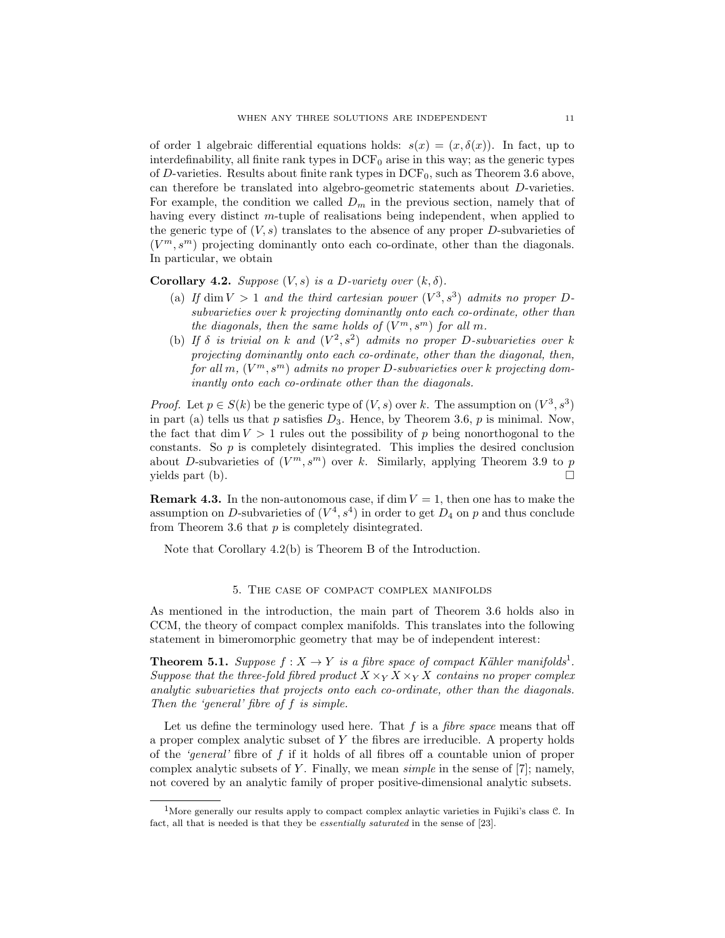of order 1 algebraic differential equations holds:  $s(x) = (x, \delta(x))$ . In fact, up to interdefinability, all finite rank types in  $DCF_0$  arise in this way; as the generic types of  $D$ -varieties. Results about finite rank types in  $DCF_0$ , such as Theorem 3.6 above, can therefore be translated into algebro-geometric statements about D-varieties. For example, the condition we called  $D_m$  in the previous section, namely that of having every distinct m-tuple of realisations being independent, when applied to the generic type of  $(V, s)$  translates to the absence of any proper D-subvarieties of  $(V<sup>m</sup>, s<sup>m</sup>)$  projecting dominantly onto each co-ordinate, other than the diagonals. In particular, we obtain

Corollary 4.2. Suppose  $(V, s)$  is a D-variety over  $(k, \delta)$ .

- (a) If dim  $V > 1$  and the third cartesian power  $(V^3, s^3)$  admits no proper Dsubvarieties over k projecting dominantly onto each co-ordinate, other than the diagonals, then the same holds of  $(V^m, s^m)$  for all m.
- (b) If  $\delta$  is trivial on k and  $(V^2, s^2)$  admits no proper D-subvarieties over k projecting dominantly onto each co-ordinate, other than the diagonal, then, for all m,  $(V^m, s^m)$  admits no proper D-subvarieties over k projecting dominantly onto each co-ordinate other than the diagonals.

*Proof.* Let  $p \in S(k)$  be the generic type of  $(V, s)$  over k. The assumption on  $(V^3, s^3)$ in part (a) tells us that p satisfies  $D_3$ . Hence, by Theorem 3.6, p is minimal. Now, the fact that dim  $V > 1$  rules out the possibility of p being nonorthogonal to the constants. So  $p$  is completely disintegrated. This implies the desired conclusion about D-subvarieties of  $(V^m, s^m)$  over k. Similarly, applying Theorem 3.9 to p yields part (b).  $\Box$ 

**Remark 4.3.** In the non-autonomous case, if dim  $V = 1$ , then one has to make the assumption on D-subvarieties of  $(V^4, s^4)$  in order to get  $D_4$  on p and thus conclude from Theorem 3.6 that  $p$  is completely disintegrated.

Note that Corollary 4.2(b) is Theorem B of the Introduction.

### 5. The case of compact complex manifolds

As mentioned in the introduction, the main part of Theorem 3.6 holds also in CCM, the theory of compact complex manifolds. This translates into the following statement in bimeromorphic geometry that may be of independent interest:

**Theorem 5.1.** Suppose  $f: X \to Y$  is a fibre space of compact Kähler manifolds<sup>1</sup>. Suppose that the three-fold fibred product  $X \times_Y X \times_Y X$  contains no proper complex analytic subvarieties that projects onto each co-ordinate, other than the diagonals. Then the 'general' fibre of f is simple.

Let us define the terminology used here. That  $f$  is a *fibre space* means that off a proper complex analytic subset of Y the fibres are irreducible. A property holds of the 'general' fibre of  $f$  if it holds of all fibres off a countable union of proper complex analytic subsets of Y. Finally, we mean *simple* in the sense of [7]; namely, not covered by an analytic family of proper positive-dimensional analytic subsets.

<sup>&</sup>lt;sup>1</sup>More generally our results apply to compact complex anlaytic varieties in Fujiki's class  $C$ . In fact, all that is needed is that they be essentially saturated in the sense of [23].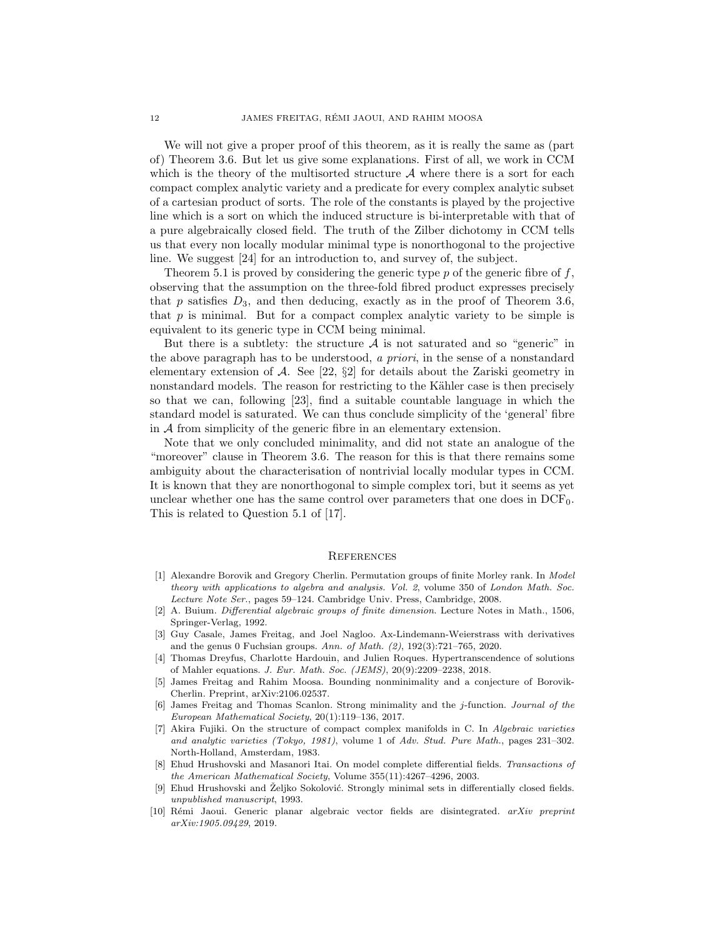We will not give a proper proof of this theorem, as it is really the same as (part of) Theorem 3.6. But let us give some explanations. First of all, we work in CCM which is the theory of the multisorted structure  $A$  where there is a sort for each compact complex analytic variety and a predicate for every complex analytic subset of a cartesian product of sorts. The role of the constants is played by the projective line which is a sort on which the induced structure is bi-interpretable with that of a pure algebraically closed field. The truth of the Zilber dichotomy in CCM tells us that every non locally modular minimal type is nonorthogonal to the projective line. We suggest [24] for an introduction to, and survey of, the subject.

Theorem 5.1 is proved by considering the generic type  $p$  of the generic fibre of  $f$ , observing that the assumption on the three-fold fibred product expresses precisely that  $p$  satisfies  $D_3$ , and then deducing, exactly as in the proof of Theorem 3.6, that  $p$  is minimal. But for a compact complex analytic variety to be simple is equivalent to its generic type in CCM being minimal.

But there is a subtlety: the structure  $A$  is not saturated and so "generic" in the above paragraph has to be understood, a priori, in the sense of a nonstandard elementary extension of  $\mathcal{A}$ . See [22, §2] for details about the Zariski geometry in nonstandard models. The reason for restricting to the Kähler case is then precisely so that we can, following [23], find a suitable countable language in which the standard model is saturated. We can thus conclude simplicity of the 'general' fibre in  $A$  from simplicity of the generic fibre in an elementary extension.

Note that we only concluded minimality, and did not state an analogue of the "moreover" clause in Theorem 3.6. The reason for this is that there remains some ambiguity about the characterisation of nontrivial locally modular types in CCM. It is known that they are nonorthogonal to simple complex tori, but it seems as yet unclear whether one has the same control over parameters that one does in  $DCF_0$ . This is related to Question 5.1 of [17].

#### **REFERENCES**

- [1] Alexandre Borovik and Gregory Cherlin. Permutation groups of finite Morley rank. In Model theory with applications to algebra and analysis. Vol. 2, volume 350 of London Math. Soc. Lecture Note Ser., pages 59–124. Cambridge Univ. Press, Cambridge, 2008.
- [2] A. Buium. Differential algebraic groups of finite dimension. Lecture Notes in Math., 1506, Springer-Verlag, 1992.
- [3] Guy Casale, James Freitag, and Joel Nagloo. Ax-Lindemann-Weierstrass with derivatives and the genus 0 Fuchsian groups. Ann. of Math. (2), 192(3):721–765, 2020.
- [4] Thomas Dreyfus, Charlotte Hardouin, and Julien Roques. Hypertranscendence of solutions of Mahler equations. J. Eur. Math. Soc. (JEMS), 20(9):2209–2238, 2018.
- [5] James Freitag and Rahim Moosa. Bounding nonminimality and a conjecture of Borovik-Cherlin. Preprint, arXiv:2106.02537.
- James Freitag and Thomas Scanlon. Strong minimality and the j-function. Journal of the European Mathematical Society, 20(1):119–136, 2017.
- [7] Akira Fujiki. On the structure of compact complex manifolds in C. In Algebraic varieties and analytic varieties (Tokyo, 1981), volume 1 of Adv. Stud. Pure Math., pages 231–302. North-Holland, Amsterdam, 1983.
- [8] Ehud Hrushovski and Masanori Itai. On model complete differential fields. Transactions of the American Mathematical Society, Volume 355(11):4267–4296, 2003.
- [9] Ehud Hrushovski and Željko Sokolović. Strongly minimal sets in differentially closed fields. unpublished manuscript, 1993.
- [10] Rémi Jaoui. Generic planar algebraic vector fields are disintegrated. arXiv preprint arXiv:1905.09429, 2019.